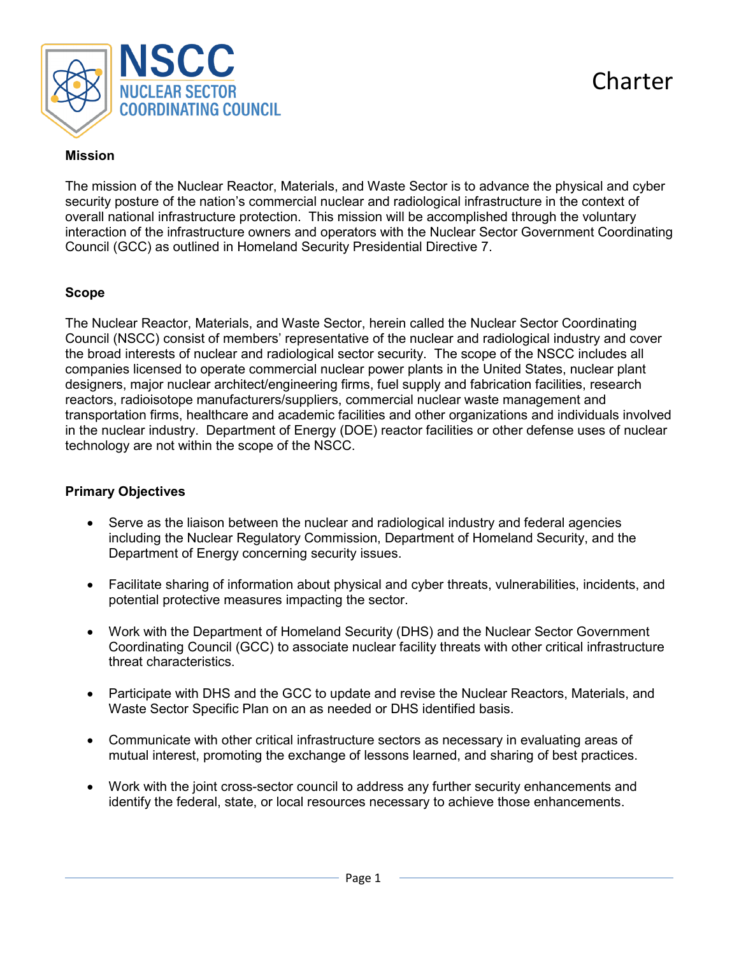

## **Mission**

The mission of the Nuclear Reactor, Materials, and Waste Sector is to advance the physical and cyber security posture of the nation's commercial nuclear and radiological infrastructure in the context of overall national infrastructure protection. This mission will be accomplished through the voluntary interaction of the infrastructure owners and operators with the Nuclear Sector Government Coordinating Council (GCC) as outlined in Homeland Security Presidential Directive 7.

## **Scope**

The Nuclear Reactor, Materials, and Waste Sector, herein called the Nuclear Sector Coordinating Council (NSCC) consist of members' representative of the nuclear and radiological industry and cover the broad interests of nuclear and radiological sector security. The scope of the NSCC includes all companies licensed to operate commercial nuclear power plants in the United States, nuclear plant designers, major nuclear architect/engineering firms, fuel supply and fabrication facilities, research reactors, radioisotope manufacturers/suppliers, commercial nuclear waste management and transportation firms, healthcare and academic facilities and other organizations and individuals involved in the nuclear industry. Department of Energy (DOE) reactor facilities or other defense uses of nuclear technology are not within the scope of the NSCC.

# **Primary Objectives**

- Serve as the liaison between the nuclear and radiological industry and federal agencies including the Nuclear Regulatory Commission, Department of Homeland Security, and the Department of Energy concerning security issues.
- Facilitate sharing of information about physical and cyber threats, vulnerabilities, incidents, and potential protective measures impacting the sector.
- Work with the Department of Homeland Security (DHS) and the Nuclear Sector Government Coordinating Council (GCC) to associate nuclear facility threats with other critical infrastructure threat characteristics.
- Participate with DHS and the GCC to update and revise the Nuclear Reactors, Materials, and Waste Sector Specific Plan on an as needed or DHS identified basis.
- Communicate with other critical infrastructure sectors as necessary in evaluating areas of mutual interest, promoting the exchange of lessons learned, and sharing of best practices.
- Work with the joint cross-sector council to address any further security enhancements and identify the federal, state, or local resources necessary to achieve those enhancements.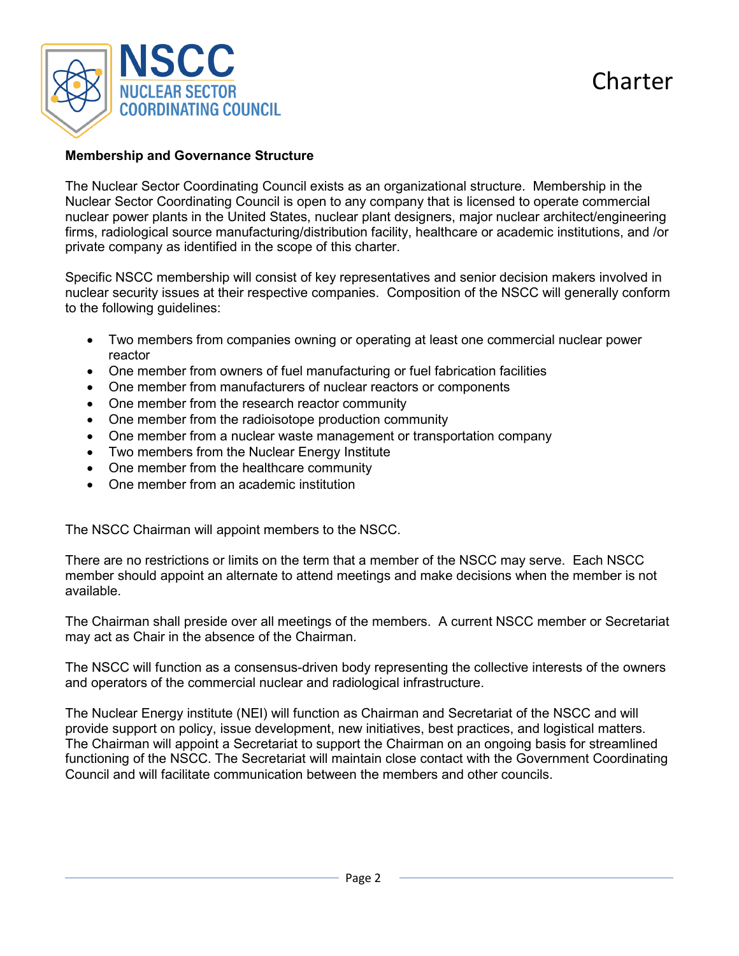

#### **Membership and Governance Structure**

The Nuclear Sector Coordinating Council exists as an organizational structure. Membership in the Nuclear Sector Coordinating Council is open to any company that is licensed to operate commercial nuclear power plants in the United States, nuclear plant designers, major nuclear architect/engineering firms, radiological source manufacturing/distribution facility, healthcare or academic institutions, and /or private company as identified in the scope of this charter.

Specific NSCC membership will consist of key representatives and senior decision makers involved in nuclear security issues at their respective companies. Composition of the NSCC will generally conform to the following guidelines:

- Two members from companies owning or operating at least one commercial nuclear power reactor
- One member from owners of fuel manufacturing or fuel fabrication facilities
- One member from manufacturers of nuclear reactors or components
- One member from the research reactor community
- One member from the radioisotope production community
- One member from a nuclear waste management or transportation company
- Two members from the Nuclear Energy Institute
- One member from the healthcare community
- One member from an academic institution

The NSCC Chairman will appoint members to the NSCC.

There are no restrictions or limits on the term that a member of the NSCC may serve. Each NSCC member should appoint an alternate to attend meetings and make decisions when the member is not available.

The Chairman shall preside over all meetings of the members. A current NSCC member or Secretariat may act as Chair in the absence of the Chairman.

The NSCC will function as a consensus-driven body representing the collective interests of the owners and operators of the commercial nuclear and radiological infrastructure.

The Nuclear Energy institute (NEI) will function as Chairman and Secretariat of the NSCC and will provide support on policy, issue development, new initiatives, best practices, and logistical matters. The Chairman will appoint a Secretariat to support the Chairman on an ongoing basis for streamlined functioning of the NSCC. The Secretariat will maintain close contact with the Government Coordinating Council and will facilitate communication between the members and other councils.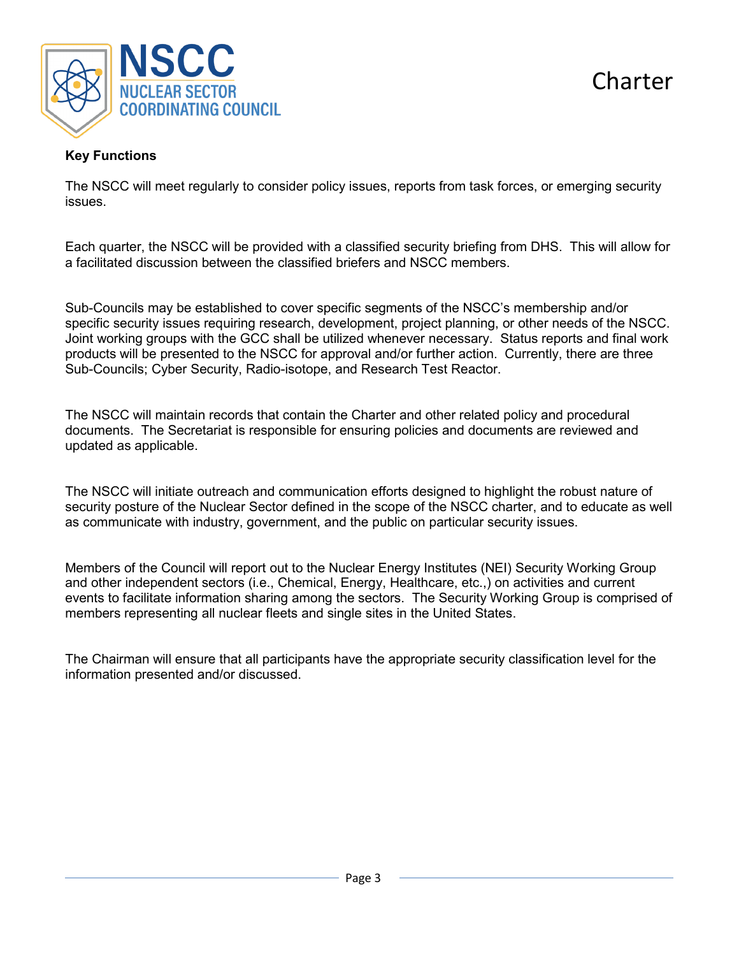

**Charter** 

# **Key Functions**

The NSCC will meet regularly to consider policy issues, reports from task forces, or emerging security issues.

Each quarter, the NSCC will be provided with a classified security briefing from DHS. This will allow for a facilitated discussion between the classified briefers and NSCC members.

Sub-Councils may be established to cover specific segments of the NSCC's membership and/or specific security issues requiring research, development, project planning, or other needs of the NSCC. Joint working groups with the GCC shall be utilized whenever necessary. Status reports and final work products will be presented to the NSCC for approval and/or further action. Currently, there are three Sub-Councils; Cyber Security, Radio-isotope, and Research Test Reactor.

The NSCC will maintain records that contain the Charter and other related policy and procedural documents. The Secretariat is responsible for ensuring policies and documents are reviewed and updated as applicable.

The NSCC will initiate outreach and communication efforts designed to highlight the robust nature of security posture of the Nuclear Sector defined in the scope of the NSCC charter, and to educate as well as communicate with industry, government, and the public on particular security issues.

Members of the Council will report out to the Nuclear Energy Institutes (NEI) Security Working Group and other independent sectors (i.e., Chemical, Energy, Healthcare, etc.,) on activities and current events to facilitate information sharing among the sectors. The Security Working Group is comprised of members representing all nuclear fleets and single sites in the United States.

The Chairman will ensure that all participants have the appropriate security classification level for the information presented and/or discussed.